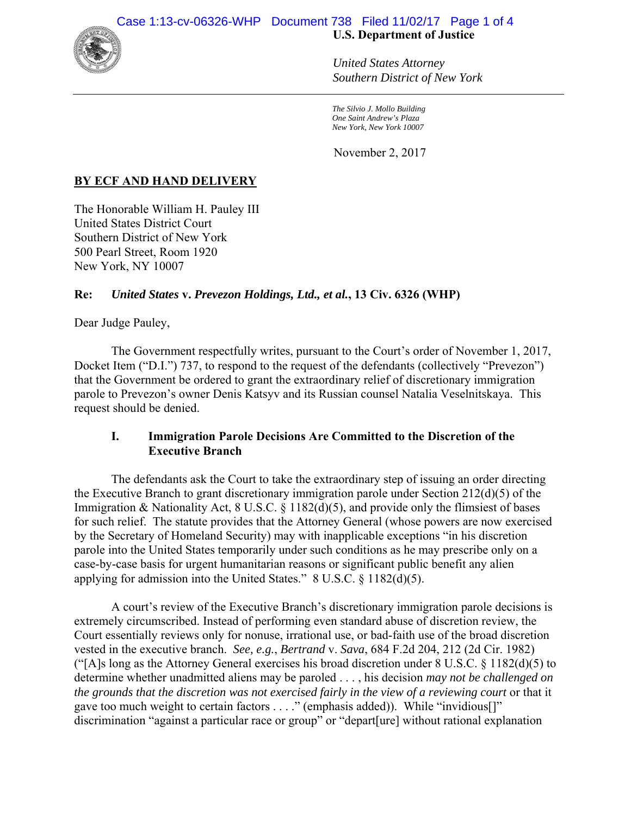

### *United States Attorney Southern District of New York*

*The Silvio J. Mollo Building One Saint Andrew's Plaza New York, New York 10007*

November 2, 2017

# **BY ECF AND HAND DELIVERY**

The Honorable William H. Pauley III United States District Court Southern District of New York 500 Pearl Street, Room 1920 New York, NY 10007

# **Re:** *United States* **v.** *Prevezon Holdings, Ltd., et al.***, 13 Civ. 6326 (WHP)**

Dear Judge Pauley,

The Government respectfully writes, pursuant to the Court's order of November 1, 2017, Docket Item ("D.I.") 737, to respond to the request of the defendants (collectively "Prevezon") that the Government be ordered to grant the extraordinary relief of discretionary immigration parole to Prevezon's owner Denis Katsyv and its Russian counsel Natalia Veselnitskaya. This request should be denied.

### **I. Immigration Parole Decisions Are Committed to the Discretion of the Executive Branch**

The defendants ask the Court to take the extraordinary step of issuing an order directing the Executive Branch to grant discretionary immigration parole under Section 212(d)(5) of the Immigration & Nationality Act, 8 U.S.C. § 1182(d)(5), and provide only the flimsiest of bases for such relief. The statute provides that the Attorney General (whose powers are now exercised by the Secretary of Homeland Security) may with inapplicable exceptions "in his discretion parole into the United States temporarily under such conditions as he may prescribe only on a case-by-case basis for urgent humanitarian reasons or significant public benefit any alien applying for admission into the United States." 8 U.S.C. § 1182(d)(5).

A court's review of the Executive Branch's discretionary immigration parole decisions is extremely circumscribed. Instead of performing even standard abuse of discretion review, the Court essentially reviews only for nonuse, irrational use, or bad-faith use of the broad discretion vested in the executive branch. *See, e.g.*, *Bertrand* v. *Sava*, 684 F.2d 204, 212 (2d Cir. 1982) ("[A]s long as the Attorney General exercises his broad discretion under  $8 \text{ U.S.C.} \& 1182\text{ (d)}(5)$  to determine whether unadmitted aliens may be paroled . . . , his decision *may not be challenged on the grounds that the discretion was not exercised fairly in the view of a reviewing court* or that it gave too much weight to certain factors . . . ." (emphasis added)). While "invidious[]" discrimination "against a particular race or group" or "depart[ure] without rational explanation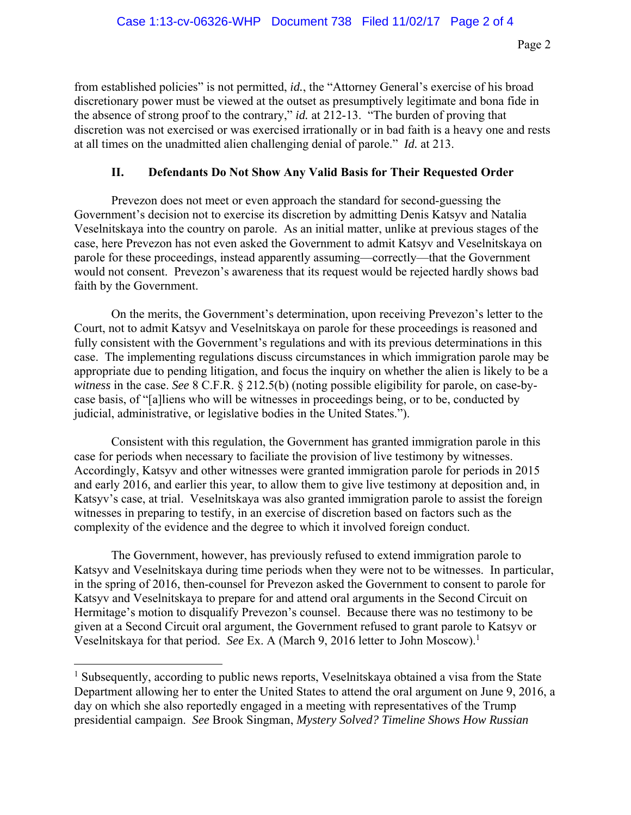from established policies" is not permitted, *id.*, the "Attorney General's exercise of his broad discretionary power must be viewed at the outset as presumptively legitimate and bona fide in the absence of strong proof to the contrary," *id.* at 212-13. "The burden of proving that discretion was not exercised or was exercised irrationally or in bad faith is a heavy one and rests at all times on the unadmitted alien challenging denial of parole." *Id.* at 213.

## **II. Defendants Do Not Show Any Valid Basis for Their Requested Order**

Prevezon does not meet or even approach the standard for second-guessing the Government's decision not to exercise its discretion by admitting Denis Katsyv and Natalia Veselnitskaya into the country on parole. As an initial matter, unlike at previous stages of the case, here Prevezon has not even asked the Government to admit Katsyv and Veselnitskaya on parole for these proceedings, instead apparently assuming—correctly—that the Government would not consent. Prevezon's awareness that its request would be rejected hardly shows bad faith by the Government.

On the merits, the Government's determination, upon receiving Prevezon's letter to the Court, not to admit Katsyv and Veselnitskaya on parole for these proceedings is reasoned and fully consistent with the Government's regulations and with its previous determinations in this case. The implementing regulations discuss circumstances in which immigration parole may be appropriate due to pending litigation, and focus the inquiry on whether the alien is likely to be a *witness* in the case. *See* 8 C.F.R. § 212.5(b) (noting possible eligibility for parole, on case-bycase basis, of "[a]liens who will be witnesses in proceedings being, or to be, conducted by judicial, administrative, or legislative bodies in the United States.").

Consistent with this regulation, the Government has granted immigration parole in this case for periods when necessary to faciliate the provision of live testimony by witnesses. Accordingly, Katsyv and other witnesses were granted immigration parole for periods in 2015 and early 2016, and earlier this year, to allow them to give live testimony at deposition and, in Katsyv's case, at trial. Veselnitskaya was also granted immigration parole to assist the foreign witnesses in preparing to testify, in an exercise of discretion based on factors such as the complexity of the evidence and the degree to which it involved foreign conduct.

The Government, however, has previously refused to extend immigration parole to Katsyv and Veselnitskaya during time periods when they were not to be witnesses. In particular, in the spring of 2016, then-counsel for Prevezon asked the Government to consent to parole for Katsyv and Veselnitskaya to prepare for and attend oral arguments in the Second Circuit on Hermitage's motion to disqualify Prevezon's counsel. Because there was no testimony to be given at a Second Circuit oral argument, the Government refused to grant parole to Katsyv or Veselnitskaya for that period. *See* Ex. A (March 9, 2016 letter to John Moscow).1

 $\overline{a}$ 

<sup>&</sup>lt;sup>1</sup> Subsequently, according to public news reports, Veselnitskaya obtained a visa from the State Department allowing her to enter the United States to attend the oral argument on June 9, 2016, a day on which she also reportedly engaged in a meeting with representatives of the Trump presidential campaign. *See* Brook Singman, *Mystery Solved? Timeline Shows How Russian*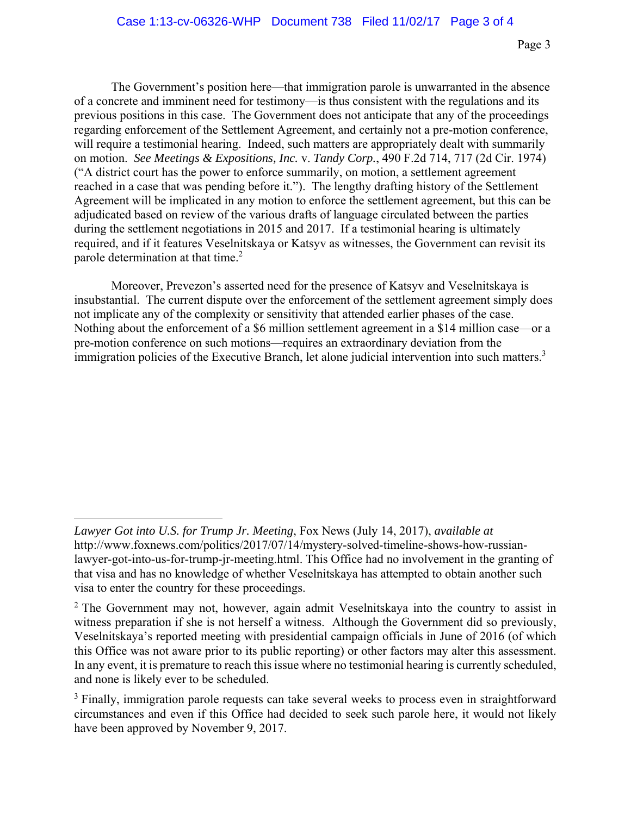The Government's position here—that immigration parole is unwarranted in the absence of a concrete and imminent need for testimony—is thus consistent with the regulations and its previous positions in this case. The Government does not anticipate that any of the proceedings regarding enforcement of the Settlement Agreement, and certainly not a pre-motion conference, will require a testimonial hearing. Indeed, such matters are appropriately dealt with summarily on motion. *See Meetings & Expositions, Inc.* v. *Tandy Corp.*, 490 F.2d 714, 717 (2d Cir. 1974) ("A district court has the power to enforce summarily, on motion, a settlement agreement reached in a case that was pending before it."). The lengthy drafting history of the Settlement Agreement will be implicated in any motion to enforce the settlement agreement, but this can be adjudicated based on review of the various drafts of language circulated between the parties during the settlement negotiations in 2015 and 2017. If a testimonial hearing is ultimately required, and if it features Veselnitskaya or Katsyv as witnesses, the Government can revisit its parole determination at that time.2

Moreover, Prevezon's asserted need for the presence of Katsyv and Veselnitskaya is insubstantial. The current dispute over the enforcement of the settlement agreement simply does not implicate any of the complexity or sensitivity that attended earlier phases of the case. Nothing about the enforcement of a \$6 million settlement agreement in a \$14 million case—or a pre-motion conference on such motions—requires an extraordinary deviation from the immigration policies of the Executive Branch, let alone judicial intervention into such matters.<sup>3</sup>

 $\overline{a}$ 

*Lawyer Got into U.S. for Trump Jr. Meeting*, Fox News (July 14, 2017), *available at*  http://www.foxnews.com/politics/2017/07/14/mystery-solved-timeline-shows-how-russianlawyer-got-into-us-for-trump-jr-meeting.html. This Office had no involvement in the granting of that visa and has no knowledge of whether Veselnitskaya has attempted to obtain another such visa to enter the country for these proceedings.

<sup>&</sup>lt;sup>2</sup> The Government may not, however, again admit Veselnitskaya into the country to assist in witness preparation if she is not herself a witness. Although the Government did so previously, Veselnitskaya's reported meeting with presidential campaign officials in June of 2016 (of which this Office was not aware prior to its public reporting) or other factors may alter this assessment. In any event, it is premature to reach this issue where no testimonial hearing is currently scheduled, and none is likely ever to be scheduled.

<sup>&</sup>lt;sup>3</sup> Finally, immigration parole requests can take several weeks to process even in straightforward circumstances and even if this Office had decided to seek such parole here, it would not likely have been approved by November 9, 2017.